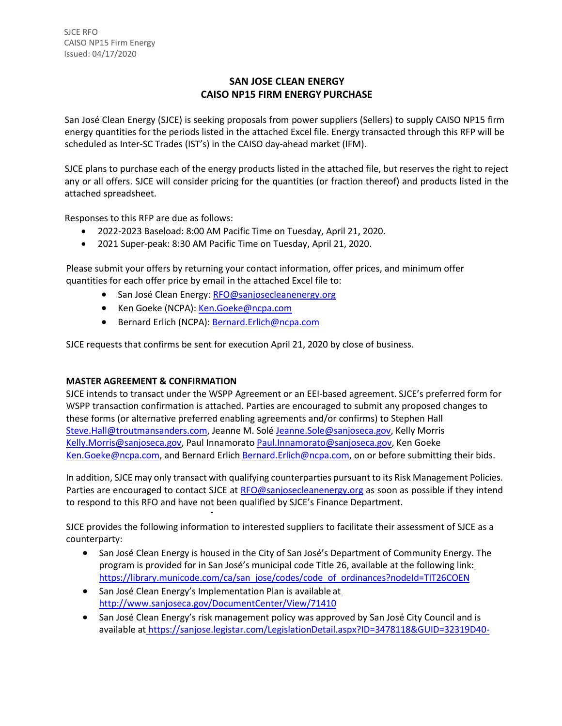# **SAN JOSE CLEAN ENERGY CAISO NP15 FIRM ENERGY PURCHASE**

San José Clean Energy (SJCE) is seeking proposals from power suppliers (Sellers) to supply CAISO NP15 firm energy quantities for the periods listed in the attached Excel file. Energy transacted through this RFP will be scheduled as Inter-SC Trades (IST's) in the CAISO day-ahead market (IFM).

SJCE plans to purchase each of the energy products listed in the attached file, but reserves the right to reject any or all offers. SJCE will consider pricing for the quantities (or fraction thereof) and products listed in the attached spreadsheet.

Responses to this RFP are due as follows:

- 2022-2023 Baseload: 8:00 AM Pacific Time on Tuesday, April 21, 2020.
- 2021 Super-peak: 8:30 AM Pacific Time on Tuesday, April 21, 2020.

Please submit your offers by returning your contact information, offer prices, and minimum offer quantities for each offer price by email in the attached Excel file to:

- San José Clean Energy: [RFO@sanjosecleanenergy.org](mailto:RFO@sanjosecleanenergy.org)
- Ken Goeke (NCPA): [Ken.Goeke@ncpa.com](mailto:Ken.Goeke@ncpa.com)
- Bernard Erlich (NCPA): [Bernard.Erlich@ncpa.com](mailto:Bernard.Erlich@ncpa.com)

SJCE requests that confirms be sent for execution April 21, 2020 by close of business.

### **MASTER AGREEMENT & CONFIRMATION**

SJCE intends to transact under the WSPP Agreement or an EEI-based agreement. SJCE's preferred form for WSPP transaction confirmation is attached. Parties are encouraged to submit any proposed changes to these forms (or alternative preferred enabling agreements and/or confirms) to Stephen Hall [Steve.Hall@troutmansanders.com, J](mailto:Steve.Hall@troutmansanders.com)eanne M. Solé [Jeanne.Sole@sanjoseca.gov,](mailto:Jeanne.Sole@sanjoseca.gov) Kelly Morris [Kelly.Morris@sanjoseca.gov,](mailto:Kelly.Morris@sanjoseca.gov) Paul Innamorato [Paul.Innamorato@sanjoseca.gov,](mailto:Paul.Innamorato@sanjoseca.gov) Ken Goeke [Ken.Goeke@ncpa.com,](mailto:Ken.Goeke@ncpa.com) and Bernard Erlich [Bernard.Erlich@ncpa.com,](mailto:Bernard.Erlich@ncpa.com) on or before submitting their bids.

In addition, SJCE may only transact with qualifying counterparties pursuant to its Risk Management Policies. Parties are encouraged to contact SJCE at [RFO@sanjosecleanenergy.org](mailto:RFO@sanjosecleanenergy.org) as soon as possible if they intend to respond to this RFO and have not been qualified by SJCE's Finance Department.

SJCE provides the following information to interested suppliers to facilitate their assessment of SJCE as a counterparty:

- San José Clean Energy is housed in the City of San José's Department of Community Energy. The program is provided for in San José's municipal code Title 26, available at the following link: [https://library.municode.com/ca/san\\_jose/codes/code\\_of\\_ordinances?nodeId=TIT26COEN](https://library.municode.com/ca/san_jose/codes/code_of_ordinances?nodeId=TIT26COEN)
- San José Clean Energy's Implementation Plan is available a[t](http://www.sanjoseca.gov/DocumentCenter/View/71410) <http://www.sanjoseca.gov/DocumentCenter/View/71410>
- San José Clean Energy's risk management policy was approved by San José City Council and is available at [https://sanjose.legistar.com/LegislationDetail.aspx?ID=3478118&GUID=32319D40-](https://sanjose.legistar.com/LegislationDetail.aspx?ID=3478118&GUID=32319D40-8EA7-4D1A-9E48-B1CC78BB2E5E&Options&Search)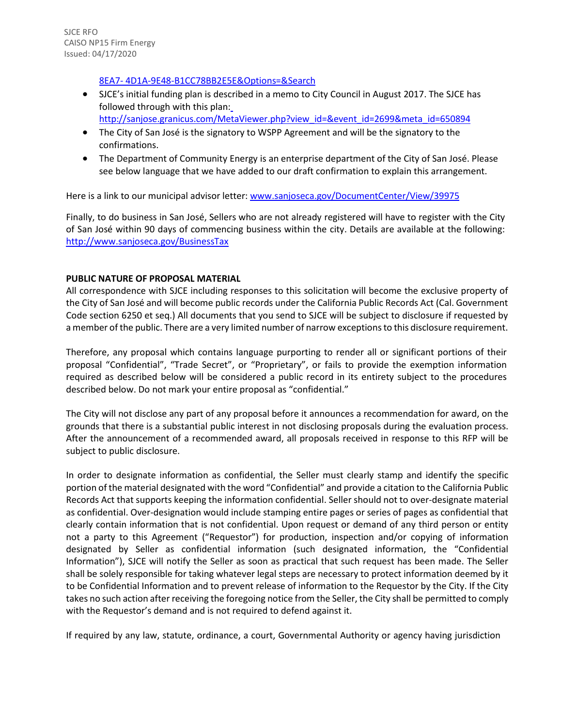### [8EA7-](https://sanjose.legistar.com/LegislationDetail.aspx?ID=3478118&GUID=32319D40-8EA7-4D1A-9E48-B1CC78BB2E5E&Options&Search) [4D1A-9E48-B1CC78BB2E5E&Options=&Search](https://sanjose.legistar.com/LegislationDetail.aspx?ID=3478118&GUID=32319D40-8EA7-4D1A-9E48-B1CC78BB2E5E&Options&Search)

- SJCE's initial funding plan is described in a memo to City Council in August 2017. The SJCE has followed through with this plan: [http://sanjose.granicus.com/MetaViewer.php?view\\_id=&event\\_id=2699&meta\\_id=650894](http://sanjose.granicus.com/MetaViewer.php?view_id&event_id=2699&meta_id=650894)
- The City of San José is the signatory to WSPP Agreement and will be the signatory to the confirmations.
- The Department of Community Energy is an enterprise department of the City of San José. Please see below language that we have added to our draft confirmation to explain this arrangement.

Here is a link to our municipal advisor letter[: www.sanjoseca.gov/DocumentCenter/View/39975](http://www.sanjoseca.gov/DocumentCenter/View/39975)

Finally, to do business in San José, Sellers who are not already registered will have to register with the City of San José within 90 days of commencing business within the city. Details are available at the following: <http://www.sanjoseca.gov/BusinessTax>

## **PUBLIC NATURE OF PROPOSAL MATERIAL**

All correspondence with SJCE including responses to this solicitation will become the exclusive property of the City of San José and will become public records under the California Public Records Act (Cal. Government Code section 6250 et seq.) All documents that you send to SJCE will be subject to disclosure if requested by a member of the public. There are a very limited number of narrow exceptions to this disclosure requirement.

Therefore, any proposal which contains language purporting to render all or significant portions of their proposal "Confidential", "Trade Secret", or "Proprietary", or fails to provide the exemption information required as described below will be considered a public record in its entirety subject to the procedures described below. Do not mark your entire proposal as "confidential."

The City will not disclose any part of any proposal before it announces a recommendation for award, on the grounds that there is a substantial public interest in not disclosing proposals during the evaluation process. After the announcement of a recommended award, all proposals received in response to this RFP will be subject to public disclosure.

In order to designate information as confidential, the Seller must clearly stamp and identify the specific portion of the material designated with the word "Confidential" and provide a citation to the California Public Records Act that supports keeping the information confidential. Seller should not to over-designate material as confidential. Over-designation would include stamping entire pages or series of pages as confidential that clearly contain information that is not confidential. Upon request or demand of any third person or entity not a party to this Agreement ("Requestor") for production, inspection and/or copying of information designated by Seller as confidential information (such designated information, the "Confidential Information"), SJCE will notify the Seller as soon as practical that such request has been made. The Seller shall be solely responsible for taking whatever legal steps are necessary to protect information deemed by it to be Confidential Information and to prevent release of information to the Requestor by the City. If the City takes no such action after receiving the foregoing notice from the Seller, the City shall be permitted to comply with the Requestor's demand and is not required to defend against it.

If required by any law, statute, ordinance, a court, Governmental Authority or agency having jurisdiction